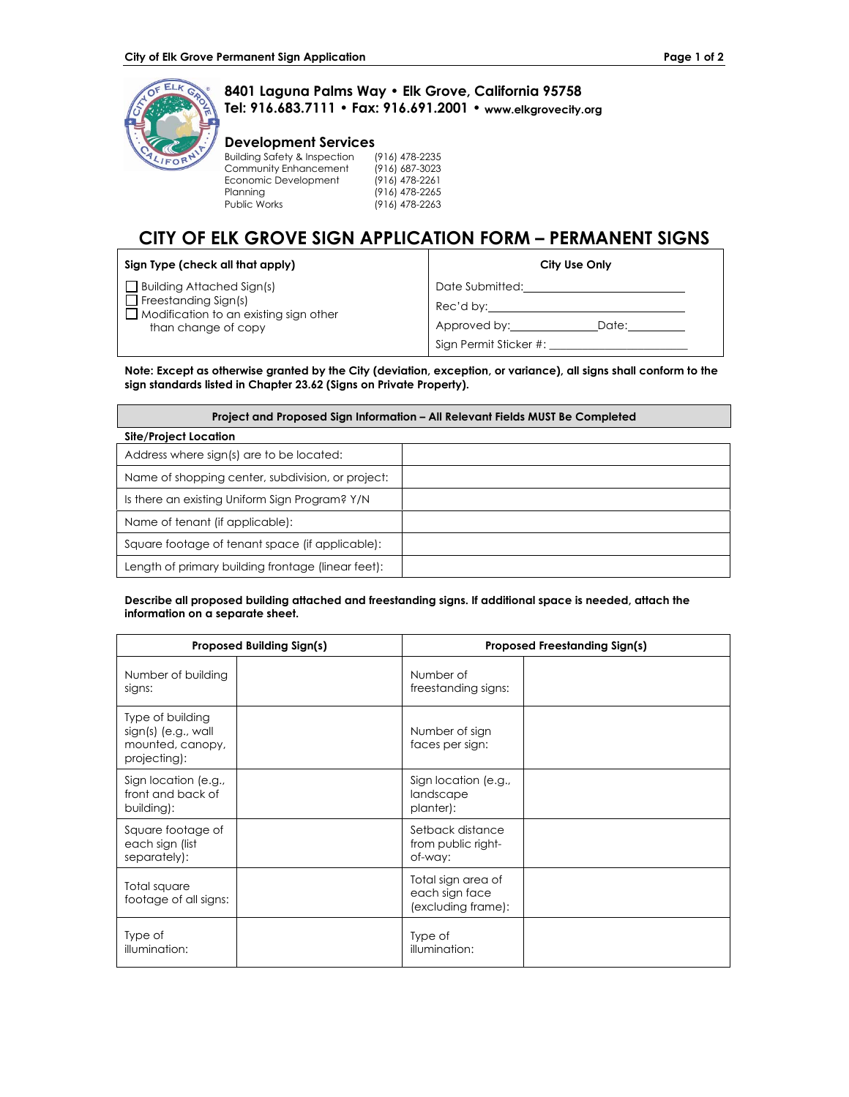

## **8401 Laguna Palms Way • Elk Grove, California 95758 Tel: 916.683.7111 • Fax: 916.691.2001 • www.elkgrovecity.org**

## **Development Services**

| <b>Building Safety &amp; Inspection</b> | (916) 478-2235 |
|-----------------------------------------|----------------|
| Community Enhancement                   | (916) 687-3023 |
| Economic Development                    | (916) 478-2261 |
| Planning                                | (916) 478-2265 |
| <b>Public Works</b>                     | (916) 478-2263 |
|                                         |                |

# **CITY OF ELK GROVE SIGN APPLICATION FORM – PERMANENT SIGNS**

| Sign Type (check all that apply)                                                                                                        | City Use Only                                         |
|-----------------------------------------------------------------------------------------------------------------------------------------|-------------------------------------------------------|
| <b>Building Attached Sign(s)</b><br>$\Box$ Freestanding Sign(s)<br>$\Box$ Modification to an existing sign other<br>than change of copy | Date Submitted:<br>Rec'd by:<br>Approved by:<br>Date: |
|                                                                                                                                         | Sign Permit Sticker #:                                |

**Note: Except as otherwise granted by the City (deviation, exception, or variance), all signs shall conform to the sign standards listed in Chapter 23.62 (Signs on Private Property).** 

| Project and Proposed Sign Information – All Relevant Fields MUST Be Completed |  |  |  |  |
|-------------------------------------------------------------------------------|--|--|--|--|
| Site/Project Location                                                         |  |  |  |  |
| Address where sign(s) are to be located:                                      |  |  |  |  |
| Name of shopping center, subdivision, or project:                             |  |  |  |  |
| Is there an existing Uniform Sign Program? Y/N                                |  |  |  |  |
| Name of tenant (if applicable):                                               |  |  |  |  |
| Square footage of tenant space (if applicable):                               |  |  |  |  |
| Length of primary building frontage (linear feet):                            |  |  |  |  |

### **Describe all proposed building attached and freestanding signs. If additional space is needed, attach the information on a separate sheet.**

| <b>Proposed Building Sign(s)</b>                                            | <b>Proposed Freestanding Sign(s)</b>                       |  |
|-----------------------------------------------------------------------------|------------------------------------------------------------|--|
| Number of building<br>signs:                                                | Number of<br>freestanding signs:                           |  |
| Type of building<br>sign(s) (e.g., wall<br>mounted, canopy,<br>projecting): | Number of sign<br>faces per sign:                          |  |
| Sign location (e.g.,<br>front and back of<br>building):                     | Sign location (e.g.,<br>landscape<br>planter):             |  |
| Square footage of<br>each sign (list<br>separately):                        | Setback distance<br>from public right-<br>of-way:          |  |
| Total square<br>footage of all signs:                                       | Total sign area of<br>each sign face<br>(excluding frame): |  |
| Type of<br>illumination:                                                    | Type of<br>illumination:                                   |  |